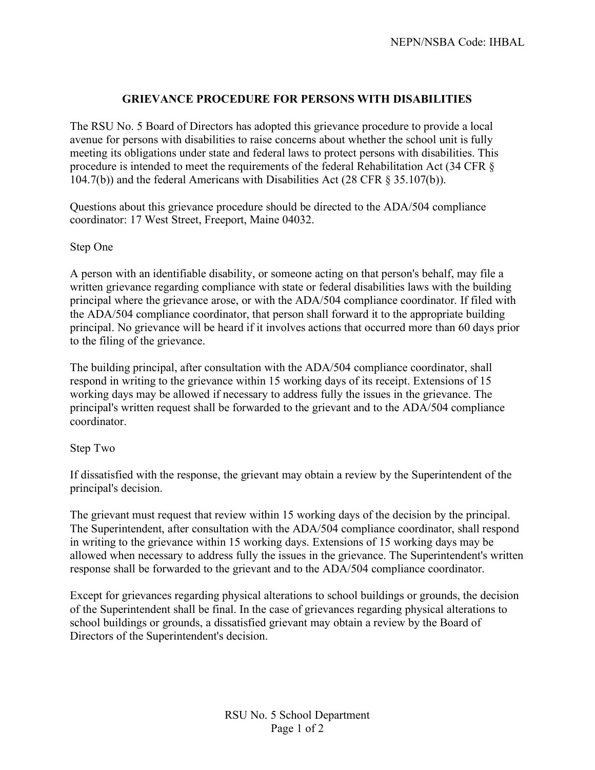## **GRIEVANCE PROCEDURE FOR PERSONS WITH DISABILITIES**

The RSU No. 5 Board of Directors has adopted this grievance procedure to provide a local avenue for persons with disabilities to raise concerns about whether the school unit is fully meeting its obligations under state and federal laws to protect persons with disabilities. This procedure is intended to meet the requirements of the federal Rehabilitation Act (34 CFR § 104.7(b)) and the federal Americans with Disabilities Act (28 CFR § 35.107(b)).

Questions about this grievance procedure should be directed to the ADA/504 compliance coordinator: 17 West Street, Freeport, Maine 04032.

## Step One

A person with an identifiable disability, or someone acting on that person's behalf, may file a written grievance regarding compliance with state or federal disabilities laws with the building principal where the grievance arose, or with the ADA/504 compliance coordinator. If filed with the ADA/504 compliance coordinator, that person shall forward it to the appropriate building principal. No grievance will be heard if it involves actions that occurred more than 60 days prior to the filing of the grievance.

The building principal, after consultation with the ADA/504 compliance coordinator, shall respond in writing to the grievance within 15 working days of its receipt. Extensions of 15 working days may be allowed if necessary to address fully the issues in the grievance. The principal's written request shall be forwarded to the grievant and to the ADA/504 compliance coordinator.

## Step Two

If dissatisfied with the response, the grievant may obtain a review by the Superintendent of the principal's decision.

The grievant must request that review within 15 working days of the decision by the principal. The Superintendent, after consultation with the ADA/504 compliance coordinator, shall respond in writing to the grievance within 15 working days. Extensions of 15 working days may be allowed when necessary to address fully the issues in the grievance. The Superintendent's written response shall be forwarded to the grievant and to the ADA/504 compliance coordinator.

Except for grievances regarding physical alterations to school buildings or grounds, the decision of the Superintendent shall be final. In the case of grievances regarding physical alterations to school buildings or grounds, a dissatisfied grievant may obtain a review by the Board of Directors of the Superintendent's decision.